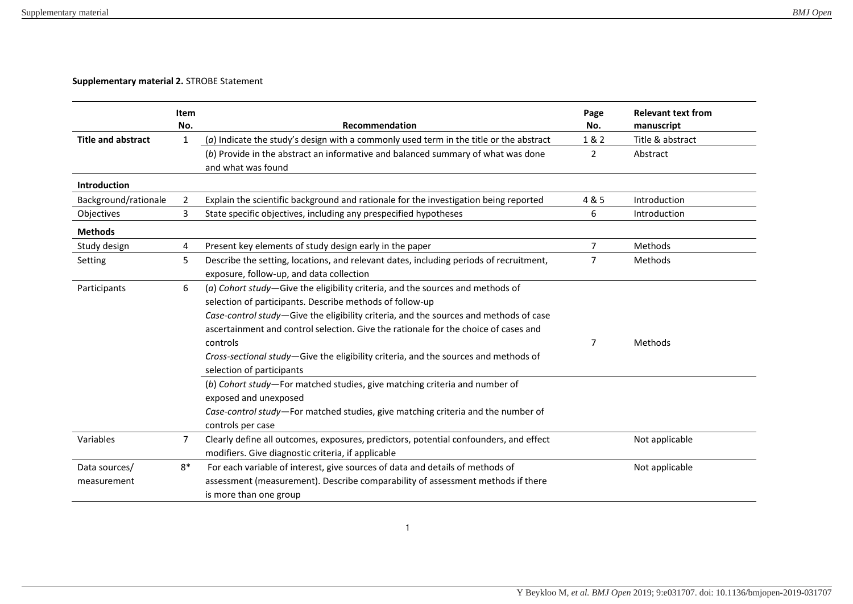## **Supplementary material 2.** STROBE Statement

|                           | Item           |                                                                                          | Page           | <b>Relevant text from</b> |
|---------------------------|----------------|------------------------------------------------------------------------------------------|----------------|---------------------------|
|                           | No.            | Recommendation                                                                           | No.            | manuscript                |
| <b>Title and abstract</b> | 1              | $(a)$ Indicate the study's design with a commonly used term in the title or the abstract | 1 & 2          | Title & abstract          |
|                           |                | (b) Provide in the abstract an informative and balanced summary of what was done         | 2              | Abstract                  |
|                           |                | and what was found                                                                       |                |                           |
| Introduction              |                |                                                                                          |                |                           |
| Background/rationale      | 2              | Explain the scientific background and rationale for the investigation being reported     | 4 & 5          | Introduction              |
| Objectives                | 3              | State specific objectives, including any prespecified hypotheses                         | 6              | Introduction              |
| <b>Methods</b>            |                |                                                                                          |                |                           |
| Study design              | 4              | Present key elements of study design early in the paper                                  | $\overline{7}$ | Methods                   |
| Setting                   | 5              | Describe the setting, locations, and relevant dates, including periods of recruitment,   | $\overline{7}$ | Methods                   |
|                           |                | exposure, follow-up, and data collection                                                 |                |                           |
| Participants              | 6              | (a) Cohort study-Give the eligibility criteria, and the sources and methods of           |                |                           |
|                           |                | selection of participants. Describe methods of follow-up                                 |                |                           |
|                           |                | Case-control study-Give the eligibility criteria, and the sources and methods of case    |                |                           |
|                           |                | ascertainment and control selection. Give the rationale for the choice of cases and      |                |                           |
|                           |                | controls                                                                                 | 7              | Methods                   |
|                           |                | Cross-sectional study-Give the eligibility criteria, and the sources and methods of      |                |                           |
|                           |                | selection of participants                                                                |                |                           |
|                           |                | (b) Cohort study-For matched studies, give matching criteria and number of               |                |                           |
|                           |                | exposed and unexposed                                                                    |                |                           |
|                           |                | Case-control study-For matched studies, give matching criteria and the number of         |                |                           |
|                           |                | controls per case                                                                        |                |                           |
| Variables                 | $\overline{7}$ | Clearly define all outcomes, exposures, predictors, potential confounders, and effect    |                | Not applicable            |
|                           |                | modifiers. Give diagnostic criteria, if applicable                                       |                |                           |
| Data sources/             | $8*$           | For each variable of interest, give sources of data and details of methods of            |                | Not applicable            |
| measurement               |                | assessment (measurement). Describe comparability of assessment methods if there          |                |                           |
|                           |                | is more than one group                                                                   |                |                           |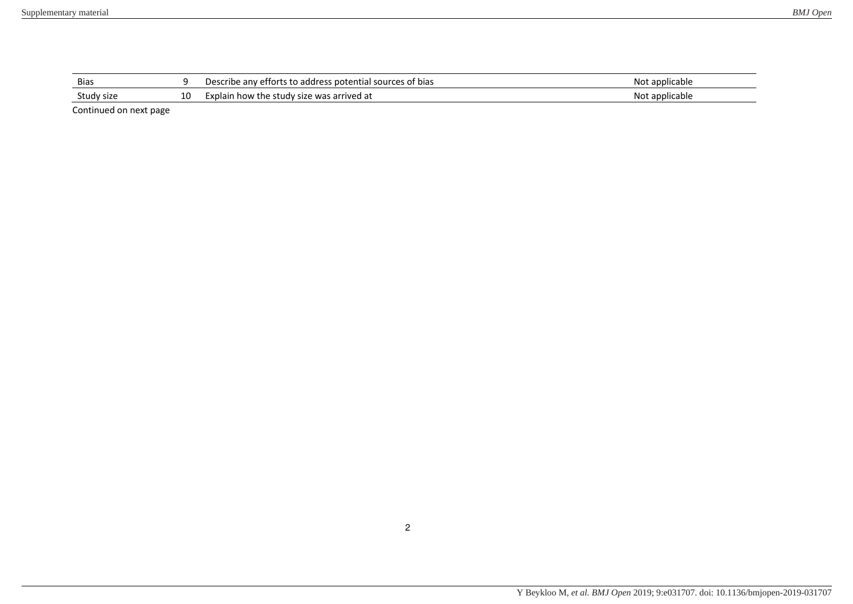| <b>Bias</b> |                      | Describe any efforts to address potential sources of bias | Not applicable |
|-------------|----------------------|-----------------------------------------------------------|----------------|
| Study size  | $\overline{ }$<br>∸∪ | Explain how the study size was arrived at                 | Not applicable |
|             |                      |                                                           |                |

Continued on next page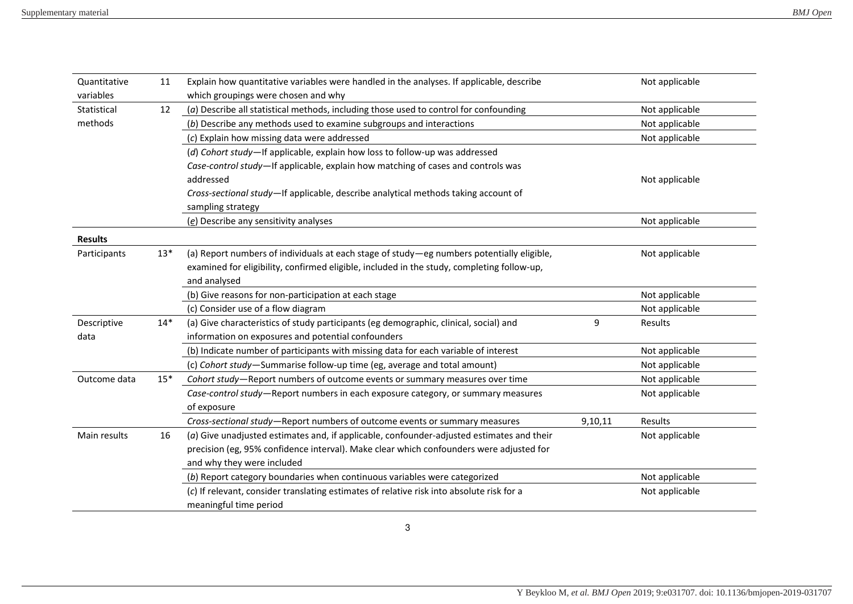| Quantitative   | 11    | Explain how quantitative variables were handled in the analyses. If applicable, describe   |         | Not applicable |
|----------------|-------|--------------------------------------------------------------------------------------------|---------|----------------|
| variables      |       | which groupings were chosen and why                                                        |         |                |
| Statistical    | 12    | (a) Describe all statistical methods, including those used to control for confounding      |         | Not applicable |
| methods        |       | (b) Describe any methods used to examine subgroups and interactions                        |         | Not applicable |
|                |       | (c) Explain how missing data were addressed                                                |         | Not applicable |
|                |       | (d) Cohort study-If applicable, explain how loss to follow-up was addressed                |         |                |
|                |       | Case-control study-If applicable, explain how matching of cases and controls was           |         |                |
|                |       | addressed                                                                                  |         | Not applicable |
|                |       | Cross-sectional study-If applicable, describe analytical methods taking account of         |         |                |
|                |       | sampling strategy                                                                          |         |                |
|                |       | (e) Describe any sensitivity analyses                                                      |         | Not applicable |
| <b>Results</b> |       |                                                                                            |         |                |
| Participants   | $13*$ | (a) Report numbers of individuals at each stage of study-eg numbers potentially eligible,  |         | Not applicable |
|                |       | examined for eligibility, confirmed eligible, included in the study, completing follow-up, |         |                |
|                |       | and analysed                                                                               |         |                |
|                |       | (b) Give reasons for non-participation at each stage                                       |         | Not applicable |
|                |       | (c) Consider use of a flow diagram                                                         |         | Not applicable |
| Descriptive    | $14*$ | (a) Give characteristics of study participants (eg demographic, clinical, social) and      | 9       | Results        |
| data           |       | information on exposures and potential confounders                                         |         |                |
|                |       | (b) Indicate number of participants with missing data for each variable of interest        |         | Not applicable |
|                |       | (c) Cohort study-Summarise follow-up time (eg, average and total amount)                   |         | Not applicable |
| Outcome data   | $15*$ | Cohort study-Report numbers of outcome events or summary measures over time                |         | Not applicable |
|                |       | Case-control study-Report numbers in each exposure category, or summary measures           |         | Not applicable |
|                |       | of exposure                                                                                |         |                |
|                |       | Cross-sectional study-Report numbers of outcome events or summary measures                 | 9,10,11 | Results        |
| Main results   | 16    | (a) Give unadjusted estimates and, if applicable, confounder-adjusted estimates and their  |         | Not applicable |
|                |       | precision (eg, 95% confidence interval). Make clear which confounders were adjusted for    |         |                |
|                |       | and why they were included                                                                 |         |                |
|                |       | (b) Report category boundaries when continuous variables were categorized                  |         | Not applicable |
|                |       | (c) If relevant, consider translating estimates of relative risk into absolute risk for a  |         | Not applicable |
|                |       | meaningful time period                                                                     |         |                |